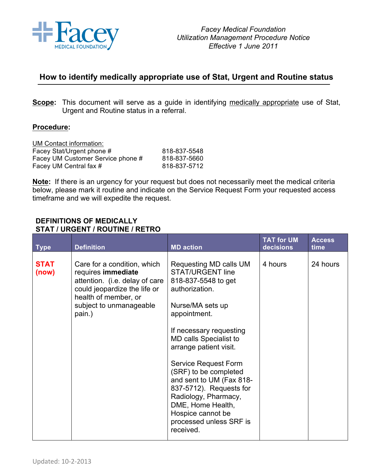

*Facey Medical Foundation Utilization Management Procedure Notice Effective 1 June 2011*

## **How to identify medically appropriate use of Stat, Urgent and Routine status**

**Scope:** This document will serve as a guide in identifying medically appropriate use of Stat, Urgent and Routine status in a referral.

## **Procedure:**

UM Contact information: Facey Stat/Urgent phone # 818-837-5548 Facey UM Customer Service phone # 818-837-5660 Facey UM Central fax # 818-837-5712

**Note:** If there is an urgency for your request but does not necessarily meet the medical criteria below, please mark it routine and indicate on the Service Request Form your requested access timeframe and we will expedite the request.

## **DEFINITIONS OF MEDICALLY STAT / URGENT / ROUTINE / RETRO**

| <b>Type</b>          | <b>Definition</b>                                                                                                                                                                | <b>MD</b> action                                                                                                                                                                                                                                                                                                                                                                                                                | <b>TAT for UM</b><br>decisions | <b>Access</b><br>time |
|----------------------|----------------------------------------------------------------------------------------------------------------------------------------------------------------------------------|---------------------------------------------------------------------------------------------------------------------------------------------------------------------------------------------------------------------------------------------------------------------------------------------------------------------------------------------------------------------------------------------------------------------------------|--------------------------------|-----------------------|
| <b>STAT</b><br>(now) | Care for a condition, which<br>requires immediate<br>attention. (i.e. delay of care<br>could jeopardize the life or<br>health of member, or<br>subject to unmanageable<br>pain.) | Requesting MD calls UM<br><b>STAT/URGENT line</b><br>818-837-5548 to get<br>authorization.<br>Nurse/MA sets up<br>appointment.<br>If necessary requesting<br>MD calls Specialist to<br>arrange patient visit.<br>Service Request Form<br>(SRF) to be completed<br>and sent to UM (Fax 818-<br>837-5712). Requests for<br>Radiology, Pharmacy,<br>DME, Home Health,<br>Hospice cannot be<br>processed unless SRF is<br>received. | 4 hours                        | 24 hours              |